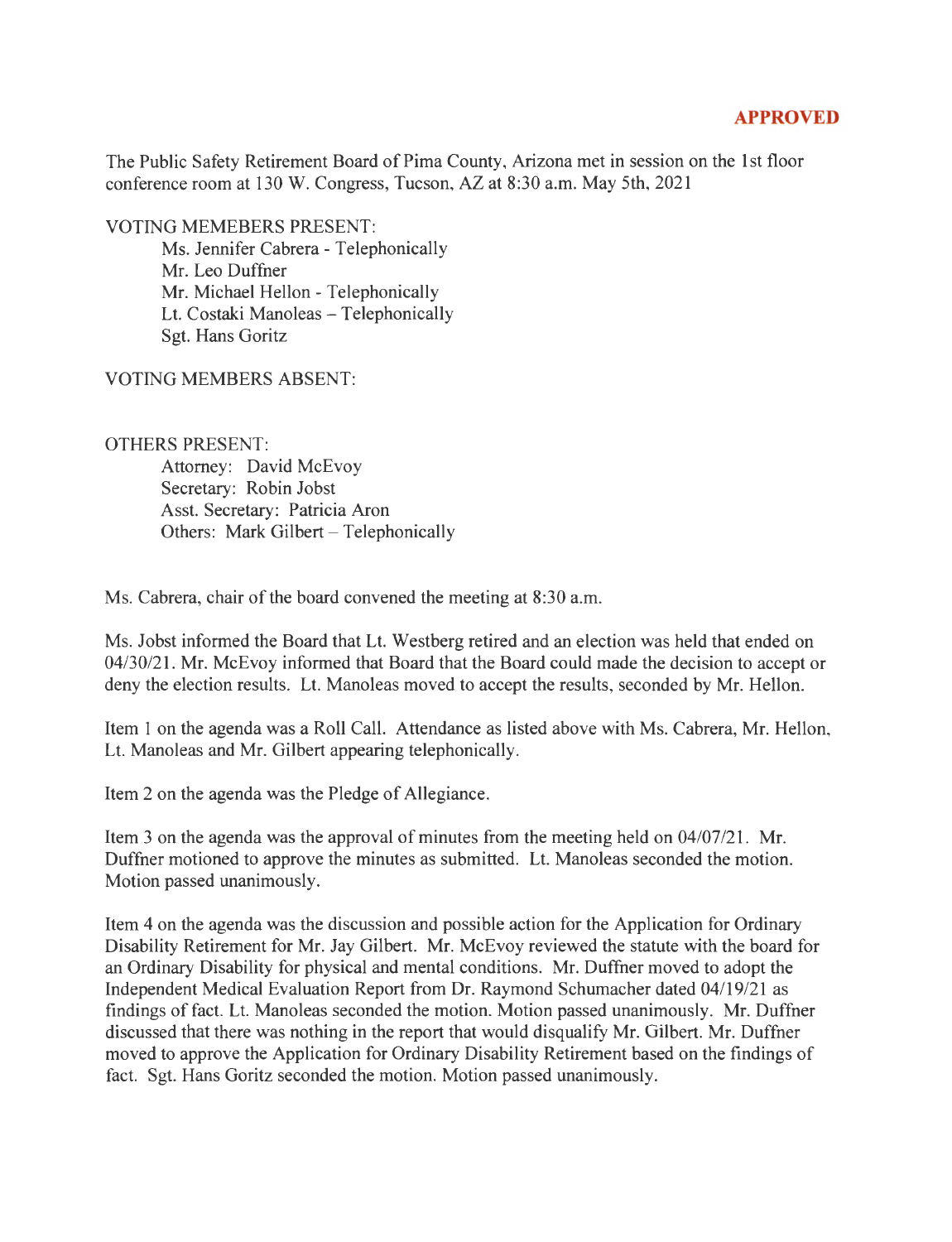## **APPROVED**

The Public Safety Retirement Board of Pima County, Arizona met in session on the 1st floor conference room at 130 W. Congress, Tucson, AZ at 8:30 a.m. May 5th, 2021

VOTING MEMEBERS PRESENT:

Ms. Jennifer Cabrera - Telephonically Mr. Leo Duffner Mr. Michael Hellon - Telephonically Lt. Costaki Manoleas - Telephonically Sgt. Hans Goritz

VOTING MEMBERS ABSENT:

## OTHERS PRESENT:

Attorney: David McEvoy Secretary: Robin Jobst Asst. Secretary: Patricia Aron Others: Mark Gilbert - Telephonically

Ms. Cabrera, chair of the board convened the meeting at 8:30 a.m.

Ms. Jobst informed the Board that Lt. Westberg retired and an election was held that ended on 04/30/21. Mr. McEvoy informed that Board that the Board could made the decision to accept or deny the election results. Lt. Manoleas moved to accept the results, seconded by Mr. Hellon.

Item 1 on the agenda was a Roll Call. Attendance as listed above with Ms. Cabrera, Mr. Hellon, Lt. Manoleas and Mr. Gilbert appearing telephonically.

Item 2 on the agenda was the Pledge of Allegiance.

Item 3 on the agenda was the approval of minutes from the meeting held on  $04/07/21$ . Mr. Duffner motioned to approve the minutes as submitted. Lt. Manoleas seconded the motion. Motion passed unanimously.

Item 4 on the agenda was the discussion and possible action for the Application for Ordinary Disability Retirement for Mr. Jay Gilbert. Mr. McEvoy reviewed the statute with the board for an Ordinary Disability for physical and mental conditions. Mr. Duffner moved to adopt the Independent Medical Evaluation Report from Dr. Raymond Schumacher dated 04/19/21 as findings of fact. Lt. Manoleas seconded the motion. Motion passed unanimously. Mr. Duffner discussed that there was nothing in the report that would disqualify Mr. Gilbert. Mr. Duffner moved to approve the Application for Ordinary Disability Retirement based on the findings of fact. Sgt. Hans Goritz seconded the motion. Motion passed unanimously.